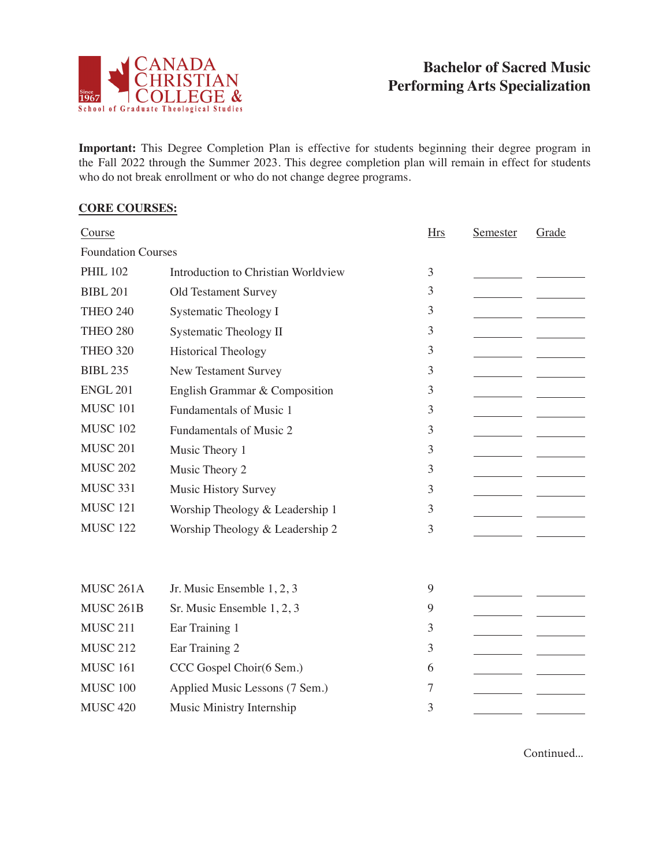

**Important:** This Degree Completion Plan is effective for students beginning their degree program in the Fall 2022 through the Summer 2023. This degree completion plan will remain in effect for students who do not break enrollment or who do not change degree programs.

## **CORE COURSES:**

| Course                    |                                     | <b>Hrs</b> | Semester | Grade |  |  |  |  |
|---------------------------|-------------------------------------|------------|----------|-------|--|--|--|--|
| <b>Foundation Courses</b> |                                     |            |          |       |  |  |  |  |
| <b>PHIL 102</b>           | Introduction to Christian Worldview | 3          |          |       |  |  |  |  |
| <b>BIBL 201</b>           | Old Testament Survey                | 3          |          |       |  |  |  |  |
| <b>THEO 240</b>           | <b>Systematic Theology I</b>        | 3          |          |       |  |  |  |  |
| <b>THEO 280</b>           | <b>Systematic Theology II</b>       | 3          |          |       |  |  |  |  |
| <b>THEO 320</b>           | <b>Historical Theology</b>          | 3          |          |       |  |  |  |  |
| <b>BIBL 235</b>           | New Testament Survey                | 3          |          |       |  |  |  |  |
| <b>ENGL 201</b>           | English Grammar & Composition       | 3          |          |       |  |  |  |  |
| <b>MUSC 101</b>           | Fundamentals of Music 1             | 3          |          |       |  |  |  |  |
| <b>MUSC 102</b>           | Fundamentals of Music 2             | 3          |          |       |  |  |  |  |
| <b>MUSC 201</b>           | Music Theory 1                      | 3          |          |       |  |  |  |  |
| <b>MUSC 202</b>           | Music Theory 2                      | 3          |          |       |  |  |  |  |
| <b>MUSC 331</b>           | <b>Music History Survey</b>         | 3          |          |       |  |  |  |  |
| <b>MUSC 121</b>           | Worship Theology & Leadership 1     | 3          |          |       |  |  |  |  |
| <b>MUSC 122</b>           | Worship Theology & Leadership 2     | 3          |          |       |  |  |  |  |
|                           |                                     |            |          |       |  |  |  |  |
|                           |                                     |            |          |       |  |  |  |  |
| MUSC 261A                 | Jr. Music Ensemble 1, 2, 3          | 9          |          |       |  |  |  |  |
| MUSC 261B                 | Sr. Music Ensemble 1, 2, 3          | 9          |          |       |  |  |  |  |
| MUSC <sub>211</sub>       | Ear Training 1                      | 3          |          |       |  |  |  |  |
| <b>MUSC 212</b>           | Ear Training 2                      | 3          |          |       |  |  |  |  |
| <b>MUSC 161</b>           | CCC Gospel Choir(6 Sem.)            | 6          |          |       |  |  |  |  |
| <b>MUSC 100</b>           | Applied Music Lessons (7 Sem.)      | 7          |          |       |  |  |  |  |
| <b>MUSC 420</b>           | Music Ministry Internship           | 3          |          |       |  |  |  |  |

Continued...